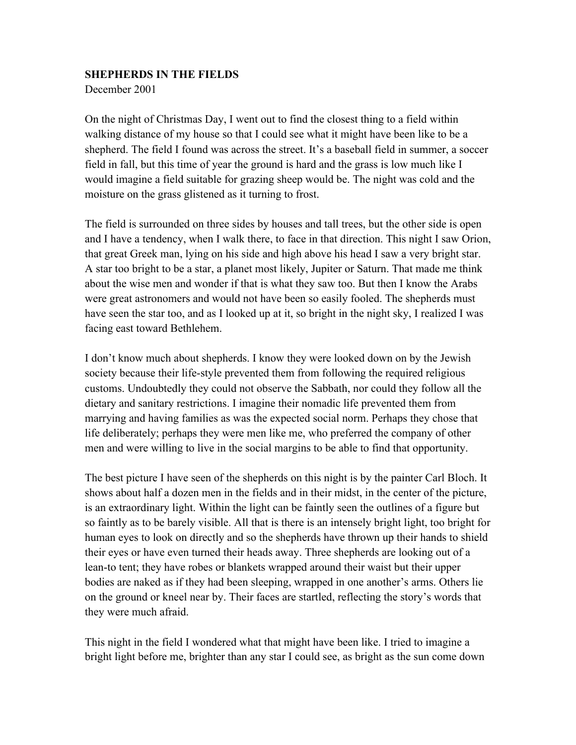## **SHEPHERDS IN THE FIELDS**

December 2001

On the night of Christmas Day, I went out to find the closest thing to a field within walking distance of my house so that I could see what it might have been like to be a shepherd. The field I found was across the street. It's a baseball field in summer, a soccer field in fall, but this time of year the ground is hard and the grass is low much like I would imagine a field suitable for grazing sheep would be. The night was cold and the moisture on the grass glistened as it turning to frost.

The field is surrounded on three sides by houses and tall trees, but the other side is open and I have a tendency, when I walk there, to face in that direction. This night I saw Orion, that great Greek man, lying on his side and high above his head I saw a very bright star. A star too bright to be a star, a planet most likely, Jupiter or Saturn. That made me think about the wise men and wonder if that is what they saw too. But then I know the Arabs were great astronomers and would not have been so easily fooled. The shepherds must have seen the star too, and as I looked up at it, so bright in the night sky, I realized I was facing east toward Bethlehem.

I don't know much about shepherds. I know they were looked down on by the Jewish society because their life-style prevented them from following the required religious customs. Undoubtedly they could not observe the Sabbath, nor could they follow all the dietary and sanitary restrictions. I imagine their nomadic life prevented them from marrying and having families as was the expected social norm. Perhaps they chose that life deliberately; perhaps they were men like me, who preferred the company of other men and were willing to live in the social margins to be able to find that opportunity.

The best picture I have seen of the shepherds on this night is by the painter Carl Bloch. It shows about half a dozen men in the fields and in their midst, in the center of the picture, is an extraordinary light. Within the light can be faintly seen the outlines of a figure but so faintly as to be barely visible. All that is there is an intensely bright light, too bright for human eyes to look on directly and so the shepherds have thrown up their hands to shield their eyes or have even turned their heads away. Three shepherds are looking out of a lean-to tent; they have robes or blankets wrapped around their waist but their upper bodies are naked as if they had been sleeping, wrapped in one another's arms. Others lie on the ground or kneel near by. Their faces are startled, reflecting the story's words that they were much afraid.

This night in the field I wondered what that might have been like. I tried to imagine a bright light before me, brighter than any star I could see, as bright as the sun come down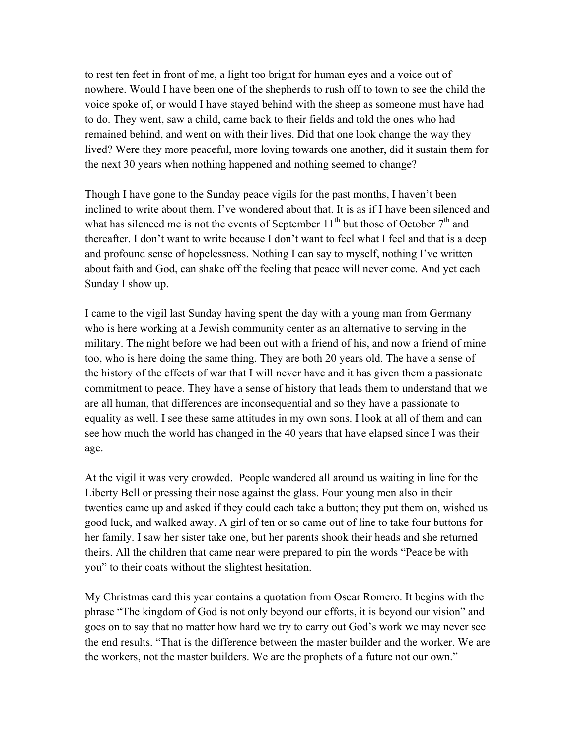to rest ten feet in front of me, a light too bright for human eyes and a voice out of nowhere. Would I have been one of the shepherds to rush off to town to see the child the voice spoke of, or would I have stayed behind with the sheep as someone must have had to do. They went, saw a child, came back to their fields and told the ones who had remained behind, and went on with their lives. Did that one look change the way they lived? Were they more peaceful, more loving towards one another, did it sustain them for the next 30 years when nothing happened and nothing seemed to change?

Though I have gone to the Sunday peace vigils for the past months, I haven't been inclined to write about them. I've wondered about that. It is as if I have been silenced and what has silenced me is not the events of September  $11<sup>th</sup>$  but those of October  $7<sup>th</sup>$  and thereafter. I don't want to write because I don't want to feel what I feel and that is a deep and profound sense of hopelessness. Nothing I can say to myself, nothing I've written about faith and God, can shake off the feeling that peace will never come. And yet each Sunday I show up.

I came to the vigil last Sunday having spent the day with a young man from Germany who is here working at a Jewish community center as an alternative to serving in the military. The night before we had been out with a friend of his, and now a friend of mine too, who is here doing the same thing. They are both 20 years old. The have a sense of the history of the effects of war that I will never have and it has given them a passionate commitment to peace. They have a sense of history that leads them to understand that we are all human, that differences are inconsequential and so they have a passionate to equality as well. I see these same attitudes in my own sons. I look at all of them and can see how much the world has changed in the 40 years that have elapsed since I was their age.

At the vigil it was very crowded. People wandered all around us waiting in line for the Liberty Bell or pressing their nose against the glass. Four young men also in their twenties came up and asked if they could each take a button; they put them on, wished us good luck, and walked away. A girl of ten or so came out of line to take four buttons for her family. I saw her sister take one, but her parents shook their heads and she returned theirs. All the children that came near were prepared to pin the words "Peace be with you" to their coats without the slightest hesitation.

My Christmas card this year contains a quotation from Oscar Romero. It begins with the phrase "The kingdom of God is not only beyond our efforts, it is beyond our vision" and goes on to say that no matter how hard we try to carry out God's work we may never see the end results. "That is the difference between the master builder and the worker. We are the workers, not the master builders. We are the prophets of a future not our own."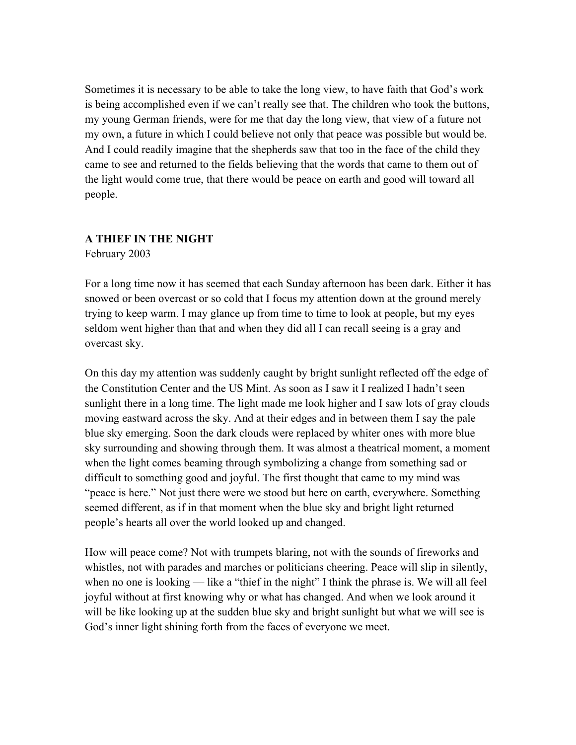Sometimes it is necessary to be able to take the long view, to have faith that God's work is being accomplished even if we can't really see that. The children who took the buttons, my young German friends, were for me that day the long view, that view of a future not my own, a future in which I could believe not only that peace was possible but would be. And I could readily imagine that the shepherds saw that too in the face of the child they came to see and returned to the fields believing that the words that came to them out of the light would come true, that there would be peace on earth and good will toward all people.

### **A THIEF IN THE NIGHT**

February 2003

For a long time now it has seemed that each Sunday afternoon has been dark. Either it has snowed or been overcast or so cold that I focus my attention down at the ground merely trying to keep warm. I may glance up from time to time to look at people, but my eyes seldom went higher than that and when they did all I can recall seeing is a gray and overcast sky.

On this day my attention was suddenly caught by bright sunlight reflected off the edge of the Constitution Center and the US Mint. As soon as I saw it I realized I hadn't seen sunlight there in a long time. The light made me look higher and I saw lots of gray clouds moving eastward across the sky. And at their edges and in between them I say the pale blue sky emerging. Soon the dark clouds were replaced by whiter ones with more blue sky surrounding and showing through them. It was almost a theatrical moment, a moment when the light comes beaming through symbolizing a change from something sad or difficult to something good and joyful. The first thought that came to my mind was "peace is here." Not just there were we stood but here on earth, everywhere. Something seemed different, as if in that moment when the blue sky and bright light returned people's hearts all over the world looked up and changed.

How will peace come? Not with trumpets blaring, not with the sounds of fireworks and whistles, not with parades and marches or politicians cheering. Peace will slip in silently, when no one is looking — like a "thief in the night" I think the phrase is. We will all feel joyful without at first knowing why or what has changed. And when we look around it will be like looking up at the sudden blue sky and bright sunlight but what we will see is God's inner light shining forth from the faces of everyone we meet.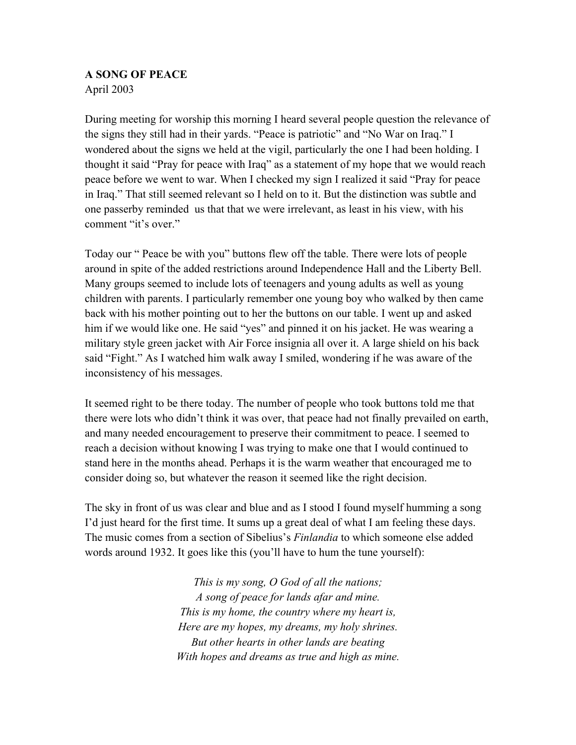### **A SONG OF PEACE** April 2003

During meeting for worship this morning I heard several people question the relevance of the signs they still had in their yards. "Peace is patriotic" and "No War on Iraq." I wondered about the signs we held at the vigil, particularly the one I had been holding. I thought it said "Pray for peace with Iraq" as a statement of my hope that we would reach peace before we went to war. When I checked my sign I realized it said "Pray for peace in Iraq." That still seemed relevant so I held on to it. But the distinction was subtle and one passerby reminded us that that we were irrelevant, as least in his view, with his comment "it's over."

Today our " Peace be with you" buttons flew off the table. There were lots of people around in spite of the added restrictions around Independence Hall and the Liberty Bell. Many groups seemed to include lots of teenagers and young adults as well as young children with parents. I particularly remember one young boy who walked by then came back with his mother pointing out to her the buttons on our table. I went up and asked him if we would like one. He said "yes" and pinned it on his jacket. He was wearing a military style green jacket with Air Force insignia all over it. A large shield on his back said "Fight." As I watched him walk away I smiled, wondering if he was aware of the inconsistency of his messages.

It seemed right to be there today. The number of people who took buttons told me that there were lots who didn't think it was over, that peace had not finally prevailed on earth, and many needed encouragement to preserve their commitment to peace. I seemed to reach a decision without knowing I was trying to make one that I would continued to stand here in the months ahead. Perhaps it is the warm weather that encouraged me to consider doing so, but whatever the reason it seemed like the right decision.

The sky in front of us was clear and blue and as I stood I found myself humming a song I'd just heard for the first time. It sums up a great deal of what I am feeling these days. The music comes from a section of Sibelius's *Finlandia* to which someone else added words around 1932. It goes like this (you'll have to hum the tune yourself):

> *This is my song, O God of all the nations; A song of peace for lands afar and mine. This is my home, the country where my heart is, Here are my hopes, my dreams, my holy shrines. But other hearts in other lands are beating With hopes and dreams as true and high as mine.*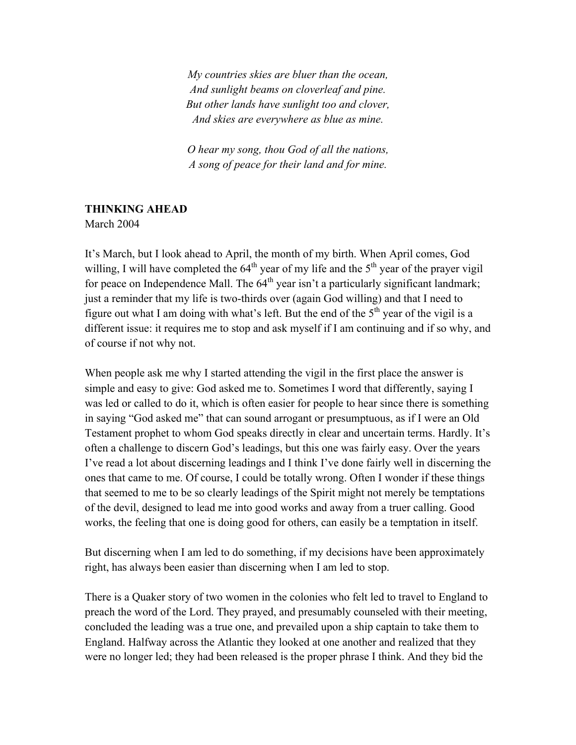*My countries skies are bluer than the ocean, And sunlight beams on cloverleaf and pine. But other lands have sunlight too and clover, And skies are everywhere as blue as mine.*

*O hear my song, thou God of all the nations, A song of peace for their land and for mine.*

### **THINKING AHEAD**

March 2004

It's March, but I look ahead to April, the month of my birth. When April comes, God willing, I will have completed the  $64<sup>th</sup>$  year of my life and the  $5<sup>th</sup>$  year of the prayer vigil for peace on Independence Mall. The  $64<sup>th</sup>$  year isn't a particularly significant landmark; just a reminder that my life is two-thirds over (again God willing) and that I need to figure out what I am doing with what's left. But the end of the  $5<sup>th</sup>$  year of the vigil is a different issue: it requires me to stop and ask myself if I am continuing and if so why, and of course if not why not.

When people ask me why I started attending the vigil in the first place the answer is simple and easy to give: God asked me to. Sometimes I word that differently, saying I was led or called to do it, which is often easier for people to hear since there is something in saying "God asked me" that can sound arrogant or presumptuous, as if I were an Old Testament prophet to whom God speaks directly in clear and uncertain terms. Hardly. It's often a challenge to discern God's leadings, but this one was fairly easy. Over the years I've read a lot about discerning leadings and I think I've done fairly well in discerning the ones that came to me. Of course, I could be totally wrong. Often I wonder if these things that seemed to me to be so clearly leadings of the Spirit might not merely be temptations of the devil, designed to lead me into good works and away from a truer calling. Good works, the feeling that one is doing good for others, can easily be a temptation in itself.

But discerning when I am led to do something, if my decisions have been approximately right, has always been easier than discerning when I am led to stop.

There is a Quaker story of two women in the colonies who felt led to travel to England to preach the word of the Lord. They prayed, and presumably counseled with their meeting, concluded the leading was a true one, and prevailed upon a ship captain to take them to England. Halfway across the Atlantic they looked at one another and realized that they were no longer led; they had been released is the proper phrase I think. And they bid the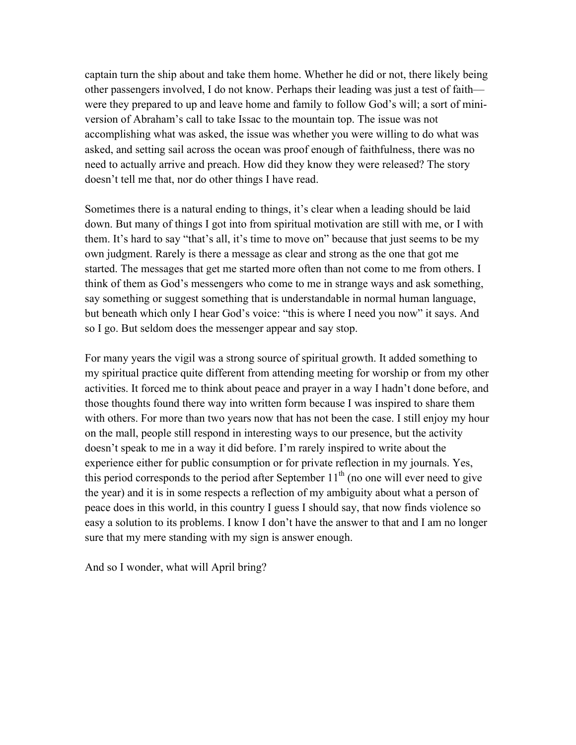captain turn the ship about and take them home. Whether he did or not, there likely being other passengers involved, I do not know. Perhaps their leading was just a test of faith were they prepared to up and leave home and family to follow God's will; a sort of miniversion of Abraham's call to take Issac to the mountain top. The issue was not accomplishing what was asked, the issue was whether you were willing to do what was asked, and setting sail across the ocean was proof enough of faithfulness, there was no need to actually arrive and preach. How did they know they were released? The story doesn't tell me that, nor do other things I have read.

Sometimes there is a natural ending to things, it's clear when a leading should be laid down. But many of things I got into from spiritual motivation are still with me, or I with them. It's hard to say "that's all, it's time to move on" because that just seems to be my own judgment. Rarely is there a message as clear and strong as the one that got me started. The messages that get me started more often than not come to me from others. I think of them as God's messengers who come to me in strange ways and ask something, say something or suggest something that is understandable in normal human language, but beneath which only I hear God's voice: "this is where I need you now" it says. And so I go. But seldom does the messenger appear and say stop.

For many years the vigil was a strong source of spiritual growth. It added something to my spiritual practice quite different from attending meeting for worship or from my other activities. It forced me to think about peace and prayer in a way I hadn't done before, and those thoughts found there way into written form because I was inspired to share them with others. For more than two years now that has not been the case. I still enjoy my hour on the mall, people still respond in interesting ways to our presence, but the activity doesn't speak to me in a way it did before. I'm rarely inspired to write about the experience either for public consumption or for private reflection in my journals. Yes, this period corresponds to the period after September  $11<sup>th</sup>$  (no one will ever need to give the year) and it is in some respects a reflection of my ambiguity about what a person of peace does in this world, in this country I guess I should say, that now finds violence so easy a solution to its problems. I know I don't have the answer to that and I am no longer sure that my mere standing with my sign is answer enough.

And so I wonder, what will April bring?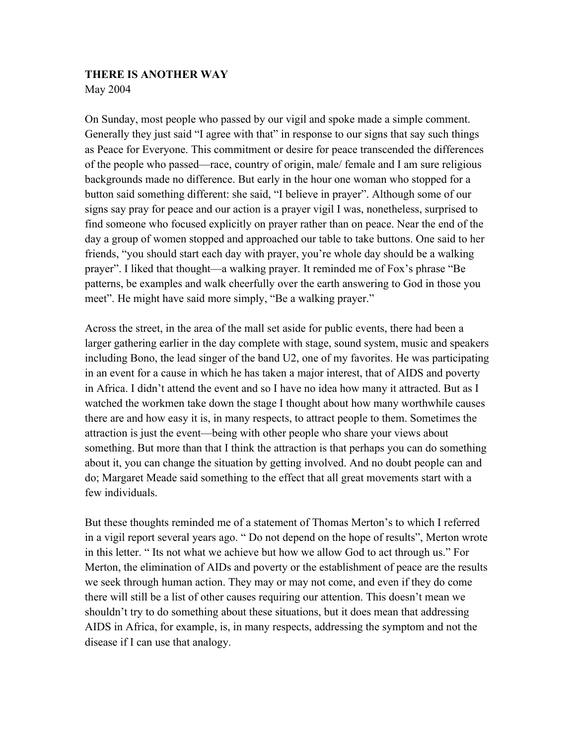### **THERE IS ANOTHER WAY** May 2004

On Sunday, most people who passed by our vigil and spoke made a simple comment. Generally they just said "I agree with that" in response to our signs that say such things as Peace for Everyone. This commitment or desire for peace transcended the differences of the people who passed—race, country of origin, male/ female and I am sure religious backgrounds made no difference. But early in the hour one woman who stopped for a button said something different: she said, "I believe in prayer". Although some of our signs say pray for peace and our action is a prayer vigil I was, nonetheless, surprised to find someone who focused explicitly on prayer rather than on peace. Near the end of the day a group of women stopped and approached our table to take buttons. One said to her friends, "you should start each day with prayer, you're whole day should be a walking prayer". I liked that thought—a walking prayer. It reminded me of Fox's phrase "Be patterns, be examples and walk cheerfully over the earth answering to God in those you meet". He might have said more simply, "Be a walking prayer."

Across the street, in the area of the mall set aside for public events, there had been a larger gathering earlier in the day complete with stage, sound system, music and speakers including Bono, the lead singer of the band U2, one of my favorites. He was participating in an event for a cause in which he has taken a major interest, that of AIDS and poverty in Africa. I didn't attend the event and so I have no idea how many it attracted. But as I watched the workmen take down the stage I thought about how many worthwhile causes there are and how easy it is, in many respects, to attract people to them. Sometimes the attraction is just the event—being with other people who share your views about something. But more than that I think the attraction is that perhaps you can do something about it, you can change the situation by getting involved. And no doubt people can and do; Margaret Meade said something to the effect that all great movements start with a few individuals.

But these thoughts reminded me of a statement of Thomas Merton's to which I referred in a vigil report several years ago. " Do not depend on the hope of results", Merton wrote in this letter. " Its not what we achieve but how we allow God to act through us." For Merton, the elimination of AIDs and poverty or the establishment of peace are the results we seek through human action. They may or may not come, and even if they do come there will still be a list of other causes requiring our attention. This doesn't mean we shouldn't try to do something about these situations, but it does mean that addressing AIDS in Africa, for example, is, in many respects, addressing the symptom and not the disease if I can use that analogy.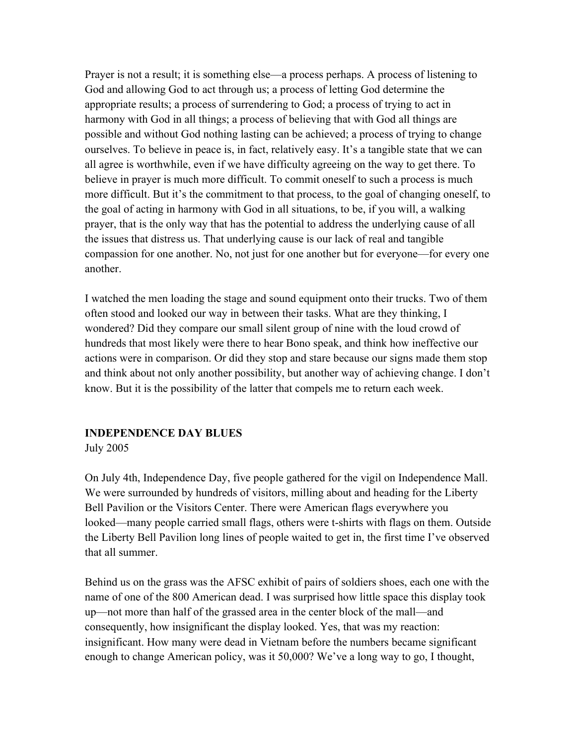Prayer is not a result; it is something else—a process perhaps. A process of listening to God and allowing God to act through us; a process of letting God determine the appropriate results; a process of surrendering to God; a process of trying to act in harmony with God in all things; a process of believing that with God all things are possible and without God nothing lasting can be achieved; a process of trying to change ourselves. To believe in peace is, in fact, relatively easy. It's a tangible state that we can all agree is worthwhile, even if we have difficulty agreeing on the way to get there. To believe in prayer is much more difficult. To commit oneself to such a process is much more difficult. But it's the commitment to that process, to the goal of changing oneself, to the goal of acting in harmony with God in all situations, to be, if you will, a walking prayer, that is the only way that has the potential to address the underlying cause of all the issues that distress us. That underlying cause is our lack of real and tangible compassion for one another. No, not just for one another but for everyone—for every one another.

I watched the men loading the stage and sound equipment onto their trucks. Two of them often stood and looked our way in between their tasks. What are they thinking, I wondered? Did they compare our small silent group of nine with the loud crowd of hundreds that most likely were there to hear Bono speak, and think how ineffective our actions were in comparison. Or did they stop and stare because our signs made them stop and think about not only another possibility, but another way of achieving change. I don't know. But it is the possibility of the latter that compels me to return each week.

### **INDEPENDENCE DAY BLUES**

July 2005

On July 4th, Independence Day, five people gathered for the vigil on Independence Mall. We were surrounded by hundreds of visitors, milling about and heading for the Liberty Bell Pavilion or the Visitors Center. There were American flags everywhere you looked—many people carried small flags, others were t-shirts with flags on them. Outside the Liberty Bell Pavilion long lines of people waited to get in, the first time I've observed that all summer.

Behind us on the grass was the AFSC exhibit of pairs of soldiers shoes, each one with the name of one of the 800 American dead. I was surprised how little space this display took up—not more than half of the grassed area in the center block of the mall—and consequently, how insignificant the display looked. Yes, that was my reaction: insignificant. How many were dead in Vietnam before the numbers became significant enough to change American policy, was it 50,000? We've a long way to go, I thought,